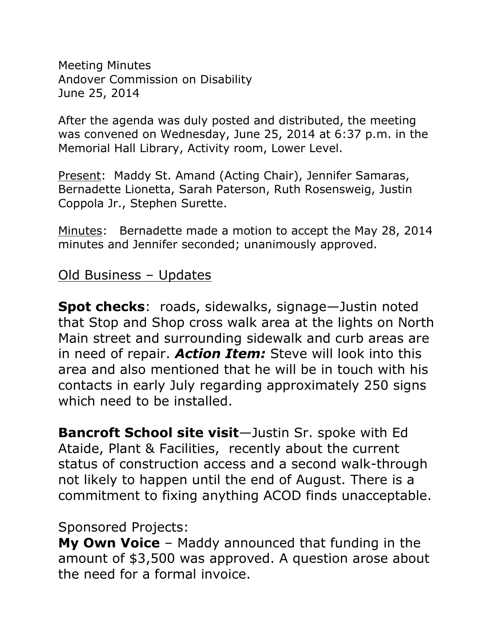Meeting Minutes Andover Commission on Disability June 25, 2014

After the agenda was duly posted and distributed, the meeting was convened on Wednesday, June 25, 2014 at 6:37 p.m. in the Memorial Hall Library, Activity room, Lower Level.

Present: Maddy St. Amand (Acting Chair), Jennifer Samaras, Bernadette Lionetta, Sarah Paterson, Ruth Rosensweig, Justin Coppola Jr., Stephen Surette.

Minutes: Bernadette made a motion to accept the May 28, 2014 minutes and Jennifer seconded; unanimously approved.

#### Old Business – Updates

**Spot checks**: roads, sidewalks, signage—Justin noted that Stop and Shop cross walk area at the lights on North Main street and surrounding sidewalk and curb areas are in need of repair. *Action Item:* Steve will look into this area and also mentioned that he will be in touch with his contacts in early July regarding approximately 250 signs which need to be installed.

**Bancroft School site visit**—Justin Sr. spoke with Ed Ataide, Plant & Facilities, recently about the current status of construction access and a second walk-through not likely to happen until the end of August. There is a commitment to fixing anything ACOD finds unacceptable.

### Sponsored Projects:

**My Own Voice** – Maddy announced that funding in the amount of \$3,500 was approved. A question arose about the need for a formal invoice.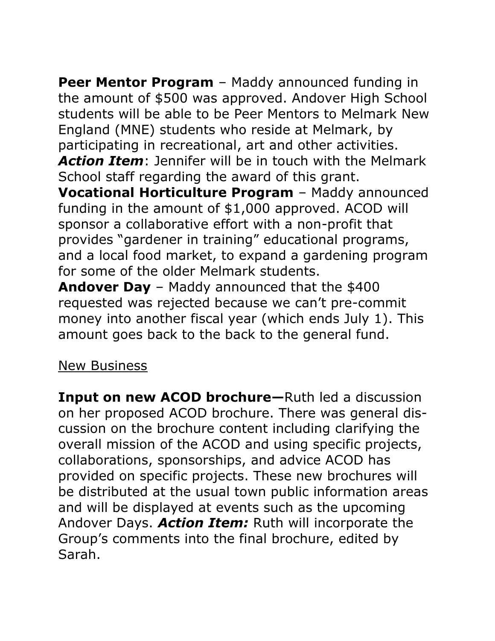**Peer Mentor Program** – Maddy announced funding in the amount of \$500 was approved. Andover High School students will be able to be Peer Mentors to Melmark New England (MNE) students who reside at Melmark, by participating in recreational, art and other activities. *Action Item*: Jennifer will be in touch with the Melmark School staff regarding the award of this grant. **Vocational Horticulture Program** – Maddy announced funding in the amount of \$1,000 approved. ACOD will sponsor a collaborative effort with a non-profit that provides "gardener in training" educational programs, and a local food market, to expand a gardening program for some of the older Melmark students.

**Andover Day** – Maddy announced that the \$400 requested was rejected because we can't pre-commit money into another fiscal year (which ends July 1). This amount goes back to the back to the general fund.

### New Business

**Input on new ACOD brochure—**Ruth led a discussion on her proposed ACOD brochure. There was general discussion on the brochure content including clarifying the overall mission of the ACOD and using specific projects, collaborations, sponsorships, and advice ACOD has provided on specific projects. These new brochures will be distributed at the usual town public information areas and will be displayed at events such as the upcoming Andover Days. *Action Item:* Ruth will incorporate the Group's comments into the final brochure, edited by Sarah.